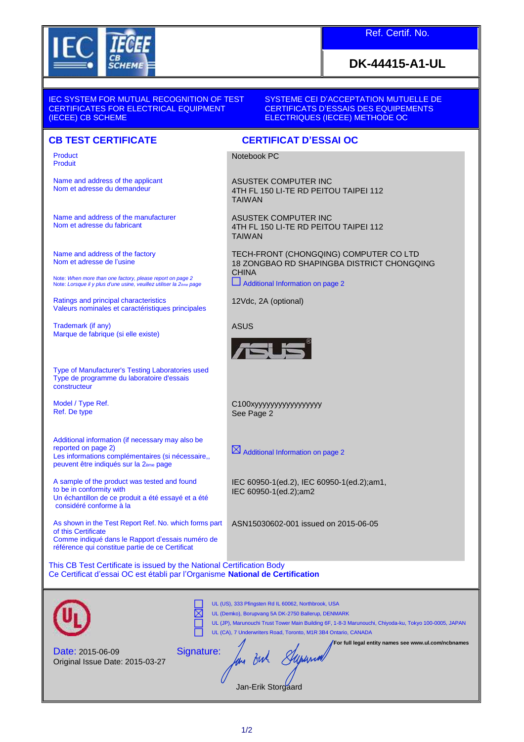

## **DK-44415-A1-UL**

IEC SYSTEM FOR MUTUAL RECOGNITION OF TEST CERTIFICATES FOR ELECTRICAL EQUIPMENT (IECEE) CB SCHEME

SYSTEME CEI D'ACCEPTATION MUTUELLE DE CERTIFICATS D'ESSAIS DES EQUIPEMENTS ELECTRIQUES (IECEE) METHODE OC

## **CB TEST CERTIFICATE CERTIFICAT D'ESSAI OC**

Product Produit

Name and address of the applicant Nom et adresse du demandeur

Name and address of the manufacturer Nom et adresse du fabricant

Name and address of the factory Nom et adresse de l'usine

Note: *When more than one factory, please report on page 2* Note: *Lorsque il y plus d'une usine, veuillez utiliser la 2ème page*

Ratings and principal characteristics Valeurs nominales et caractéristiques principales

Trademark (if any) Marque de fabrique (si elle existe)

Type of Manufacturer's Testing Laboratories used Type de programme du laboratoire d'essais constructeur

Model / Type Ref. Ref. De type

Additional information (if necessary may also be reported on page 2) Les informations complémentaires (si nécessaire,, peuvent être indiqués sur la 2ème page

A sample of the product was tested and found to be in conformity with Un échantillon de ce produit a été essayé et a été considéré conforme à la

As shown in the Test Report Ref. No. which forms part of this Certificate Comme indiqué dans le Rapport d'essais numéro de référence qui constitue partie de ce Certificat

This CB Test Certificate is issued by the National Certification Body Ce Certificat d'essai OC est établi par l'Organisme **National de Certification**

|                                                            | UL (US), 333 Pfingsten Rd IL 60062, Northbrook, USA<br>UL (Demko), Borupvang 5A DK-2750 Ballerup, DENMARK<br>UL (JP), Marunouchi Trust Tower Main Building 6F, 1-8-3 Marunouchi, Chiyoda-ku, Tokyo 100-0005, JAPAN<br>UL (CA), 7 Underwriters Road, Toronto, M1R 3B4 Ontario, CANADA |
|------------------------------------------------------------|--------------------------------------------------------------------------------------------------------------------------------------------------------------------------------------------------------------------------------------------------------------------------------------|
| <b>Date: 2015-06-09</b><br>Original Issue Date: 2015-03-27 | For full legal entity names see www.ul.com/ncbnames<br>Signature:<br>Jan-Frik Storoaard                                                                                                                                                                                              |

Jan-Erik Storgaard

Notebook PC

ASUSTEK COMPUTER INC 4TH FL 150 LI-TE RD PEITOU TAIPEI 112 TAIWAN

ASUSTEK COMPUTER INC 4TH FL 150 LI-TE RD PEITOU TAIPEI 112 TAIWAN

TECH-FRONT (CHONGQING) COMPUTER CO LTD 18 ZONGBAO RD SHAPINGBA DISTRICT CHONGQING **CHINA** 

 $\Box$  Additional Information on page 2

12Vdc, 2A (optional)

ASUS



C100xyyyyyyyyyyyyyyyyy See Page 2

 $\boxtimes$  Additional Information on page 2

IEC 60950-1(ed.2), IEC 60950-1(ed.2);am1, IEC 60950-1(ed.2);am2

ASN15030602-001 issued on 2015-06-05